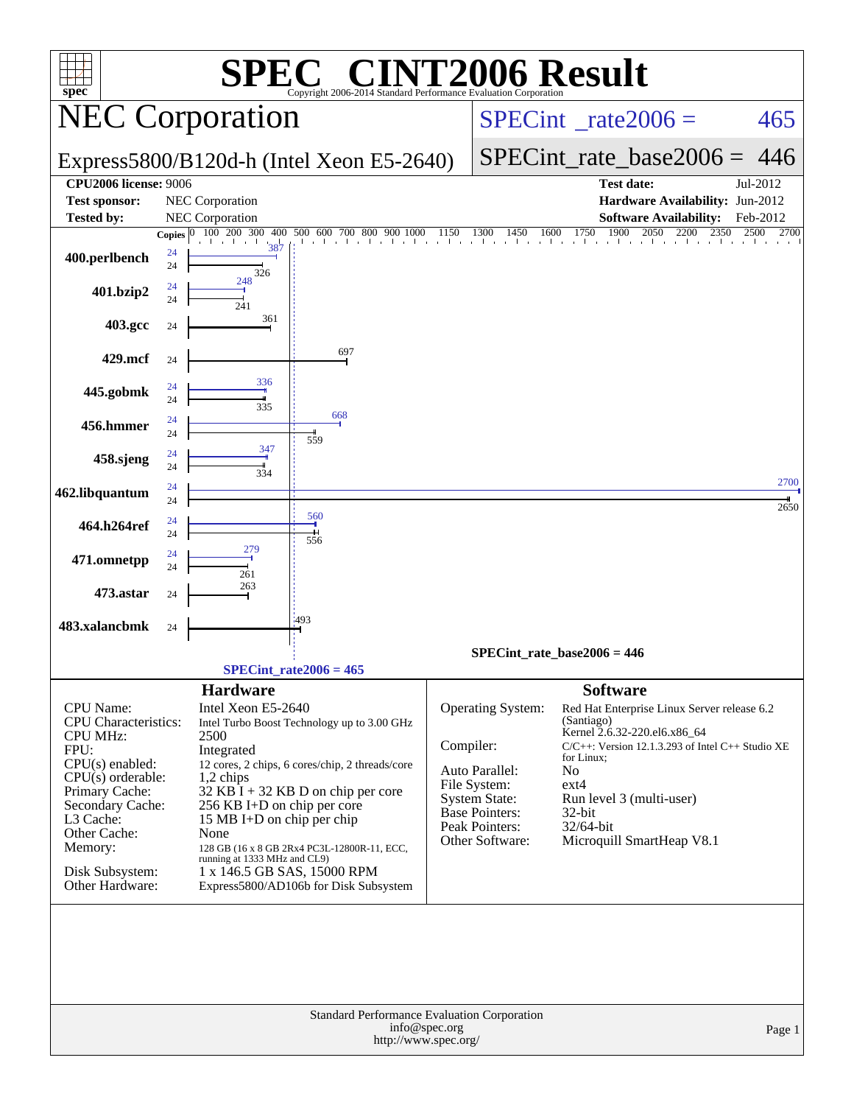| spec®                                                                                |              |                              | $\mathbf{P}(\mathbb{R})$<br>Copyright 2006-2014 Standard Performance Evaluation Corporation |           |                                         | <b>INT2006 Result</b>                                                                 |          |
|--------------------------------------------------------------------------------------|--------------|------------------------------|---------------------------------------------------------------------------------------------|-----------|-----------------------------------------|---------------------------------------------------------------------------------------|----------|
|                                                                                      |              | <b>NEC Corporation</b>       |                                                                                             |           | $SPECint^{\circ}$ rate $2006 =$         | 465                                                                                   |          |
|                                                                                      |              |                              | Express5800/B120d-h (Intel Xeon E5-2640)                                                    |           | $SPECint_rate\_base2006 =$              | 446                                                                                   |          |
| <b>CPU2006</b> license: 9006                                                         |              |                              |                                                                                             |           |                                         | <b>Test date:</b>                                                                     | Jul-2012 |
| <b>Test sponsor:</b>                                                                 |              | NEC Corporation              |                                                                                             |           |                                         | Hardware Availability: Jun-2012                                                       |          |
| <b>Tested by:</b>                                                                    |              | <b>NEC</b> Corporation       |                                                                                             |           |                                         | <b>Software Availability:</b>                                                         | Feb-2012 |
|                                                                                      | Copies $ 0 $ | 100 200 300                  |                                                                                             |           |                                         | 400 500 600 700 800 900 1000 1150 1300 1450 1600 1750 1900 2050 2200 2350 2500        | 2700     |
| 400.perlbench                                                                        | 24<br>24     | 387                          |                                                                                             |           |                                         |                                                                                       |          |
|                                                                                      |              | 326<br>248                   |                                                                                             |           |                                         |                                                                                       |          |
| 401.bzip2                                                                            | 24<br>24     | 241                          |                                                                                             |           |                                         |                                                                                       |          |
| 403.gcc                                                                              | 24           | 361                          |                                                                                             |           |                                         |                                                                                       |          |
| 429.mcf                                                                              | 24           |                              | 697                                                                                         |           |                                         |                                                                                       |          |
|                                                                                      | 24           | 336                          |                                                                                             |           |                                         |                                                                                       |          |
| 445.gobmk                                                                            | 24           | 335                          |                                                                                             |           |                                         |                                                                                       |          |
| 456.hmmer                                                                            | 24<br>24     |                              | 668                                                                                         |           |                                         |                                                                                       |          |
|                                                                                      | 24           | 347                          | 559                                                                                         |           |                                         |                                                                                       |          |
| 458.sjeng                                                                            | 24           | 334                          |                                                                                             |           |                                         |                                                                                       |          |
| 462.libquantum                                                                       | 24<br>24     |                              |                                                                                             |           |                                         |                                                                                       | 2700     |
|                                                                                      |              |                              | 560                                                                                         |           |                                         |                                                                                       | 2650     |
| 464.h264ref                                                                          | 24<br>24     |                              | 556                                                                                         |           |                                         |                                                                                       |          |
| 471.omnetpp                                                                          | 24<br>24     |                              |                                                                                             |           |                                         |                                                                                       |          |
| 473.astar                                                                            |              | 261<br>263                   |                                                                                             |           |                                         |                                                                                       |          |
|                                                                                      | 24           |                              | 1493                                                                                        |           |                                         |                                                                                       |          |
| 483.xalancbmk                                                                        | 24           |                              |                                                                                             |           |                                         |                                                                                       |          |
|                                                                                      |              |                              |                                                                                             |           |                                         | $SPECint_rate_base2006 = 446$                                                         |          |
|                                                                                      |              |                              | $SPECint_rate2006 = 465$                                                                    |           |                                         |                                                                                       |          |
|                                                                                      |              | <b>Hardware</b>              |                                                                                             |           |                                         | <b>Software</b>                                                                       |          |
| CPU Name:                                                                            |              | Intel Xeon E5-2640           |                                                                                             |           | Operating System:                       | Red Hat Enterprise Linux Server release 6.2                                           |          |
| <b>CPU</b> Characteristics:                                                          |              |                              | Intel Turbo Boost Technology up to 3.00 GHz                                                 |           |                                         | (Santiago)                                                                            |          |
| <b>CPU MHz:</b>                                                                      |              | 2500                         |                                                                                             | Compiler: |                                         | Kernel 2.6.32-220.el6.x86_64<br>$C/C++$ : Version 12.1.3.293 of Intel $C++$ Studio XE |          |
| FPU:                                                                                 |              | Integrated                   |                                                                                             |           |                                         | for Linux:                                                                            |          |
| $CPU(s)$ enabled:<br>$CPU(s)$ orderable:                                             |              | $1,2$ chips                  | 12 cores, 2 chips, 6 cores/chip, 2 threads/core                                             |           | Auto Parallel:                          | No                                                                                    |          |
| Primary Cache:                                                                       |              |                              | $32$ KB I + 32 KB D on chip per core                                                        |           | File System:                            | $ext{4}$                                                                              |          |
| Secondary Cache:                                                                     |              | 256 KB I+D on chip per core  |                                                                                             |           | System State:                           | Run level 3 (multi-user)<br>$32$ -bit                                                 |          |
| L3 Cache:                                                                            |              | 15 MB I+D on chip per chip   |                                                                                             |           | <b>Base Pointers:</b><br>Peak Pointers: | 32/64-bit                                                                             |          |
| Other Cache:                                                                         |              | None                         |                                                                                             |           | Other Software:                         | Microquill SmartHeap V8.1                                                             |          |
| Memory:                                                                              |              | running at 1333 MHz and CL9) | 128 GB (16 x 8 GB 2Rx4 PC3L-12800R-11, ECC,                                                 |           |                                         |                                                                                       |          |
| Disk Subsystem:                                                                      |              |                              | 1 x 146.5 GB SAS, 15000 RPM                                                                 |           |                                         |                                                                                       |          |
| Other Hardware:                                                                      |              |                              | Express5800/AD106b for Disk Subsystem                                                       |           |                                         |                                                                                       |          |
|                                                                                      |              |                              |                                                                                             |           |                                         |                                                                                       |          |
| Standard Performance Evaluation Corporation<br>info@spec.org<br>http://www.spec.org/ |              |                              |                                                                                             |           |                                         |                                                                                       | Page 1   |
|                                                                                      |              |                              |                                                                                             |           |                                         |                                                                                       |          |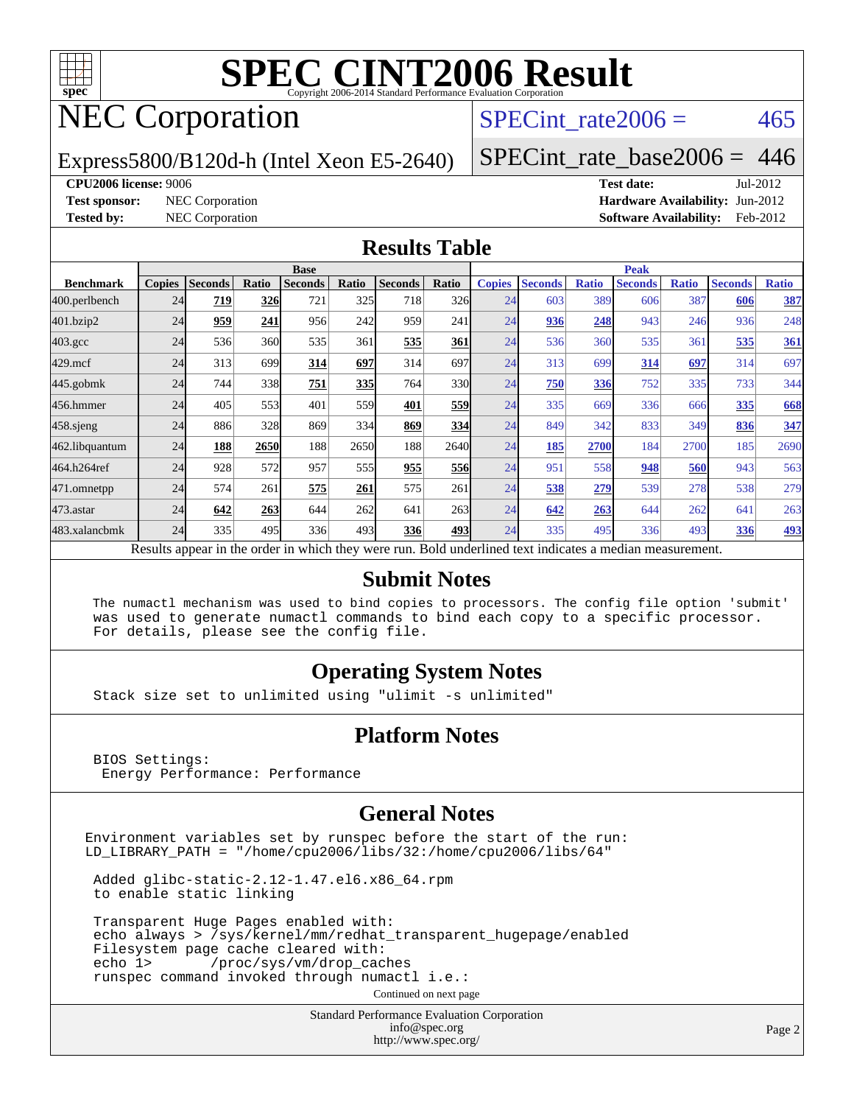

## NEC Corporation

SPECint rate $2006 = 465$ 

Express5800/B120d-h (Intel Xeon E5-2640)

[SPECint\\_rate\\_base2006 =](http://www.spec.org/auto/cpu2006/Docs/result-fields.html#SPECintratebase2006) 446

#### **[CPU2006 license:](http://www.spec.org/auto/cpu2006/Docs/result-fields.html#CPU2006license)** 9006 **[Test date:](http://www.spec.org/auto/cpu2006/Docs/result-fields.html#Testdate)** Jul-2012

**[Test sponsor:](http://www.spec.org/auto/cpu2006/Docs/result-fields.html#Testsponsor)** NEC Corporation **[Hardware Availability:](http://www.spec.org/auto/cpu2006/Docs/result-fields.html#HardwareAvailability)** Jun-2012 **[Tested by:](http://www.spec.org/auto/cpu2006/Docs/result-fields.html#Testedby)** NEC Corporation **[Software Availability:](http://www.spec.org/auto/cpu2006/Docs/result-fields.html#SoftwareAvailability)** Feb-2012

#### **[Results Table](http://www.spec.org/auto/cpu2006/Docs/result-fields.html#ResultsTable)**

|                                                                                                          | <b>Base</b>   |                |       |                |                  |                |       | <b>Peak</b>   |                |              |                |              |                |              |
|----------------------------------------------------------------------------------------------------------|---------------|----------------|-------|----------------|------------------|----------------|-------|---------------|----------------|--------------|----------------|--------------|----------------|--------------|
| <b>Benchmark</b>                                                                                         | <b>Copies</b> | <b>Seconds</b> | Ratio | <b>Seconds</b> | Ratio            | <b>Seconds</b> | Ratio | <b>Copies</b> | <b>Seconds</b> | <b>Ratio</b> | <b>Seconds</b> | <b>Ratio</b> | <b>Seconds</b> | <b>Ratio</b> |
| 400.perlbench                                                                                            | 24            | 719            | 326   | 721            | 325              | 718            | 326   | 24            | 603            | 389          | 606            | 387          | 606            | 387          |
| 401.bzip2                                                                                                | 24            | 959            | 241   | 956            | 242              | 959            | 241   | 24            | 936            | 248          | 943            | 246          | 936            | 248          |
| $403.\mathrm{gcc}$                                                                                       | 24            | 536            | 360   | 535            | 361              | 535            | 361   | 24            | 536            | 360          | 535            | 361          | 535            | 361          |
| $429$ .mcf                                                                                               | 24            | 313            | 699   | 314            | 697              | 314            | 697   | 24            | 313            | 699          | 314            | 697          | 314            | 697          |
| $445$ .gobmk                                                                                             | 24            | 744            | 338   | 751            | 335              | 764            | 330   | 24            | 750            | 336          | 752            | 335          | 733            | 344          |
| 456.hmmer                                                                                                | 24            | 405            | 553   | 401            | 559l             | 401            | 559   | 24            | 335            | 669          | 336            | 666          | 335            | 668          |
| $458$ .sjeng                                                                                             | 24            | 886            | 328   | 869            | 334              | 869            | 334   | 24            | 849            | 342          | 833            | 349          | 836            | 347          |
| 462.libquantum                                                                                           | 24            | 188            | 2650  | 188            | 2650             | 188            | 2640  | 24            | 185            | 2700         | 184            | 2700         | 185            | 2690         |
| 464.h264ref                                                                                              | 24            | 928            | 572   | 957            | 555 <sup>I</sup> | 955            | 556   | 24            | 951            | 558          | 948            | 560          | 943            | 563          |
| 471.omnetpp                                                                                              | 24            | 574            | 261   | 575            | 261              | 575            | 261   | 24            | 538            | 279          | 539            | 278          | 538            | 279          |
| 473.astar                                                                                                | 24            | 642            | 263   | 644            | 262              | 641            | 263   | 24            | 642            | 263          | 644            | 262          | 641            | 263          |
| 483.xalancbmk                                                                                            | 24            | 335            | 495   | 336            | 493              | 336            | 493   | 24            | 335            | 495          | 336            | 493          | 336            | <u>493</u>   |
| Results appear in the order in which they were run. Bold underlined text indicates a median measurement. |               |                |       |                |                  |                |       |               |                |              |                |              |                |              |

#### **[Submit Notes](http://www.spec.org/auto/cpu2006/Docs/result-fields.html#SubmitNotes)**

 The numactl mechanism was used to bind copies to processors. The config file option 'submit' was used to generate numactl commands to bind each copy to a specific processor. For details, please see the config file.

#### **[Operating System Notes](http://www.spec.org/auto/cpu2006/Docs/result-fields.html#OperatingSystemNotes)**

Stack size set to unlimited using "ulimit -s unlimited"

#### **[Platform Notes](http://www.spec.org/auto/cpu2006/Docs/result-fields.html#PlatformNotes)**

 BIOS Settings: Energy Performance: Performance

#### **[General Notes](http://www.spec.org/auto/cpu2006/Docs/result-fields.html#GeneralNotes)**

Environment variables set by runspec before the start of the run: LD\_LIBRARY\_PATH = "/home/cpu2006/libs/32:/home/cpu2006/libs/64"

 Added glibc-static-2.12-1.47.el6.x86\_64.rpm to enable static linking

 Transparent Huge Pages enabled with: echo always > /sys/kernel/mm/redhat\_transparent\_hugepage/enabled Filesystem page cache cleared with: echo 1> /proc/sys/vm/drop\_caches runspec command invoked through numactl i.e.:

Continued on next page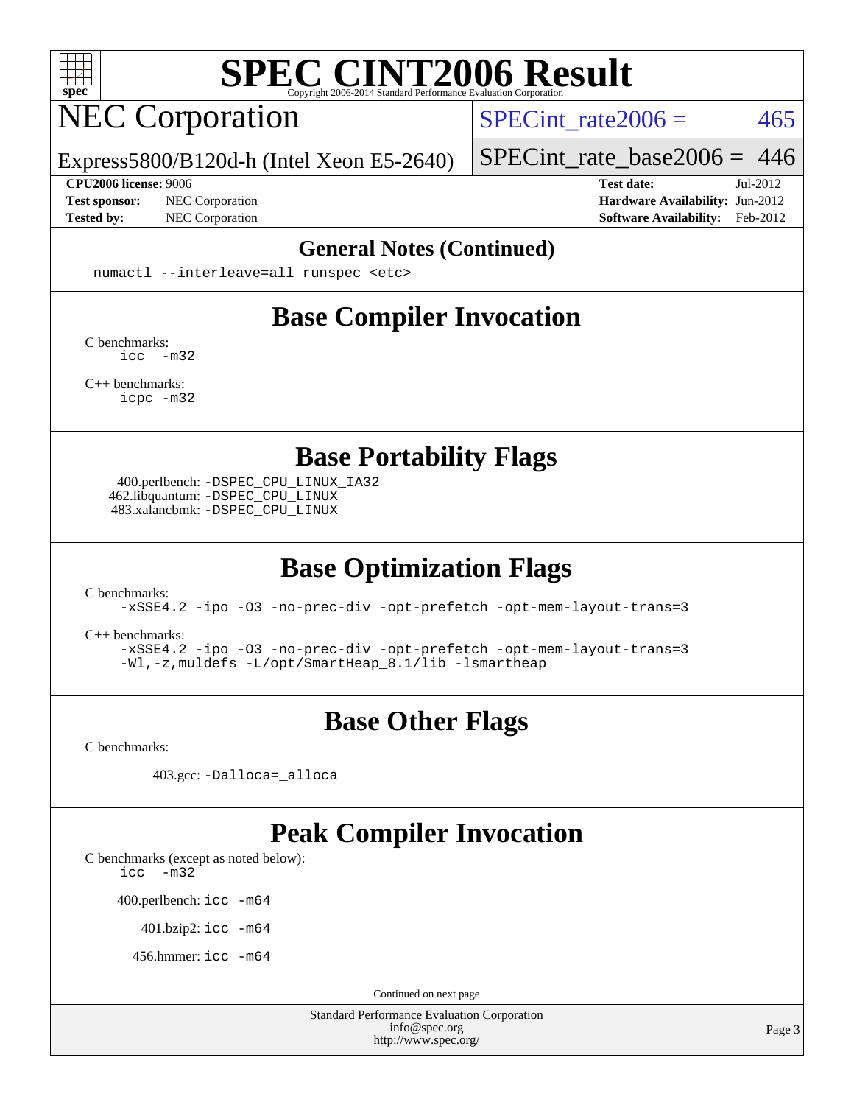

## NEC Corporation

SPECint rate $2006 = 465$ 

Express5800/B120d-h (Intel Xeon E5-2640)

[SPECint\\_rate\\_base2006 =](http://www.spec.org/auto/cpu2006/Docs/result-fields.html#SPECintratebase2006) 446

**[CPU2006 license:](http://www.spec.org/auto/cpu2006/Docs/result-fields.html#CPU2006license)** 9006 **[Test date:](http://www.spec.org/auto/cpu2006/Docs/result-fields.html#Testdate)** Jul-2012 **[Test sponsor:](http://www.spec.org/auto/cpu2006/Docs/result-fields.html#Testsponsor)** NEC Corporation **NEC Corporation [Hardware Availability:](http://www.spec.org/auto/cpu2006/Docs/result-fields.html#HardwareAvailability)** Jun-2012 **[Tested by:](http://www.spec.org/auto/cpu2006/Docs/result-fields.html#Testedby)** NEC Corporation **[Software Availability:](http://www.spec.org/auto/cpu2006/Docs/result-fields.html#SoftwareAvailability)** Feb-2012

#### **[General Notes \(Continued\)](http://www.spec.org/auto/cpu2006/Docs/result-fields.html#GeneralNotes)**

numactl --interleave=all runspec <etc>

### **[Base Compiler Invocation](http://www.spec.org/auto/cpu2006/Docs/result-fields.html#BaseCompilerInvocation)**

[C benchmarks](http://www.spec.org/auto/cpu2006/Docs/result-fields.html#Cbenchmarks): [icc -m32](http://www.spec.org/cpu2006/results/res2012q3/cpu2006-20120802-24025.flags.html#user_CCbase_intel_icc_5ff4a39e364c98233615fdd38438c6f2)

[C++ benchmarks:](http://www.spec.org/auto/cpu2006/Docs/result-fields.html#CXXbenchmarks) [icpc -m32](http://www.spec.org/cpu2006/results/res2012q3/cpu2006-20120802-24025.flags.html#user_CXXbase_intel_icpc_4e5a5ef1a53fd332b3c49e69c3330699)

**[Base Portability Flags](http://www.spec.org/auto/cpu2006/Docs/result-fields.html#BasePortabilityFlags)**

 400.perlbench: [-DSPEC\\_CPU\\_LINUX\\_IA32](http://www.spec.org/cpu2006/results/res2012q3/cpu2006-20120802-24025.flags.html#b400.perlbench_baseCPORTABILITY_DSPEC_CPU_LINUX_IA32) 462.libquantum: [-DSPEC\\_CPU\\_LINUX](http://www.spec.org/cpu2006/results/res2012q3/cpu2006-20120802-24025.flags.html#b462.libquantum_baseCPORTABILITY_DSPEC_CPU_LINUX) 483.xalancbmk: [-DSPEC\\_CPU\\_LINUX](http://www.spec.org/cpu2006/results/res2012q3/cpu2006-20120802-24025.flags.html#b483.xalancbmk_baseCXXPORTABILITY_DSPEC_CPU_LINUX)

## **[Base Optimization Flags](http://www.spec.org/auto/cpu2006/Docs/result-fields.html#BaseOptimizationFlags)**

[C benchmarks](http://www.spec.org/auto/cpu2006/Docs/result-fields.html#Cbenchmarks):

[-xSSE4.2](http://www.spec.org/cpu2006/results/res2012q3/cpu2006-20120802-24025.flags.html#user_CCbase_f-xSSE42_f91528193cf0b216347adb8b939d4107) [-ipo](http://www.spec.org/cpu2006/results/res2012q3/cpu2006-20120802-24025.flags.html#user_CCbase_f-ipo) [-O3](http://www.spec.org/cpu2006/results/res2012q3/cpu2006-20120802-24025.flags.html#user_CCbase_f-O3) [-no-prec-div](http://www.spec.org/cpu2006/results/res2012q3/cpu2006-20120802-24025.flags.html#user_CCbase_f-no-prec-div) [-opt-prefetch](http://www.spec.org/cpu2006/results/res2012q3/cpu2006-20120802-24025.flags.html#user_CCbase_f-opt-prefetch) [-opt-mem-layout-trans=3](http://www.spec.org/cpu2006/results/res2012q3/cpu2006-20120802-24025.flags.html#user_CCbase_f-opt-mem-layout-trans_a7b82ad4bd7abf52556d4961a2ae94d5)

[C++ benchmarks:](http://www.spec.org/auto/cpu2006/Docs/result-fields.html#CXXbenchmarks)

[-xSSE4.2](http://www.spec.org/cpu2006/results/res2012q3/cpu2006-20120802-24025.flags.html#user_CXXbase_f-xSSE42_f91528193cf0b216347adb8b939d4107) [-ipo](http://www.spec.org/cpu2006/results/res2012q3/cpu2006-20120802-24025.flags.html#user_CXXbase_f-ipo) [-O3](http://www.spec.org/cpu2006/results/res2012q3/cpu2006-20120802-24025.flags.html#user_CXXbase_f-O3) [-no-prec-div](http://www.spec.org/cpu2006/results/res2012q3/cpu2006-20120802-24025.flags.html#user_CXXbase_f-no-prec-div) [-opt-prefetch](http://www.spec.org/cpu2006/results/res2012q3/cpu2006-20120802-24025.flags.html#user_CXXbase_f-opt-prefetch) [-opt-mem-layout-trans=3](http://www.spec.org/cpu2006/results/res2012q3/cpu2006-20120802-24025.flags.html#user_CXXbase_f-opt-mem-layout-trans_a7b82ad4bd7abf52556d4961a2ae94d5) [-Wl,-z,muldefs](http://www.spec.org/cpu2006/results/res2012q3/cpu2006-20120802-24025.flags.html#user_CXXbase_link_force_multiple1_74079c344b956b9658436fd1b6dd3a8a) [-L/opt/SmartHeap\\_8.1/lib -lsmartheap](http://www.spec.org/cpu2006/results/res2012q3/cpu2006-20120802-24025.flags.html#user_CXXbase_SmartHeap_d5ba4dfc9de25d3c657c7de7476e66c5)

## **[Base Other Flags](http://www.spec.org/auto/cpu2006/Docs/result-fields.html#BaseOtherFlags)**

[C benchmarks](http://www.spec.org/auto/cpu2006/Docs/result-fields.html#Cbenchmarks):

403.gcc: [-Dalloca=\\_alloca](http://www.spec.org/cpu2006/results/res2012q3/cpu2006-20120802-24025.flags.html#b403.gcc_baseEXTRA_CFLAGS_Dalloca_be3056838c12de2578596ca5467af7f3)

#### **[Peak Compiler Invocation](http://www.spec.org/auto/cpu2006/Docs/result-fields.html#PeakCompilerInvocation)**

[C benchmarks \(except as noted below\)](http://www.spec.org/auto/cpu2006/Docs/result-fields.html#Cbenchmarksexceptasnotedbelow):

[icc -m32](http://www.spec.org/cpu2006/results/res2012q3/cpu2006-20120802-24025.flags.html#user_CCpeak_intel_icc_5ff4a39e364c98233615fdd38438c6f2)

400.perlbench: [icc -m64](http://www.spec.org/cpu2006/results/res2012q3/cpu2006-20120802-24025.flags.html#user_peakCCLD400_perlbench_intel_icc_64bit_bda6cc9af1fdbb0edc3795bac97ada53)

401.bzip2: [icc -m64](http://www.spec.org/cpu2006/results/res2012q3/cpu2006-20120802-24025.flags.html#user_peakCCLD401_bzip2_intel_icc_64bit_bda6cc9af1fdbb0edc3795bac97ada53)

456.hmmer: [icc -m64](http://www.spec.org/cpu2006/results/res2012q3/cpu2006-20120802-24025.flags.html#user_peakCCLD456_hmmer_intel_icc_64bit_bda6cc9af1fdbb0edc3795bac97ada53)

Continued on next page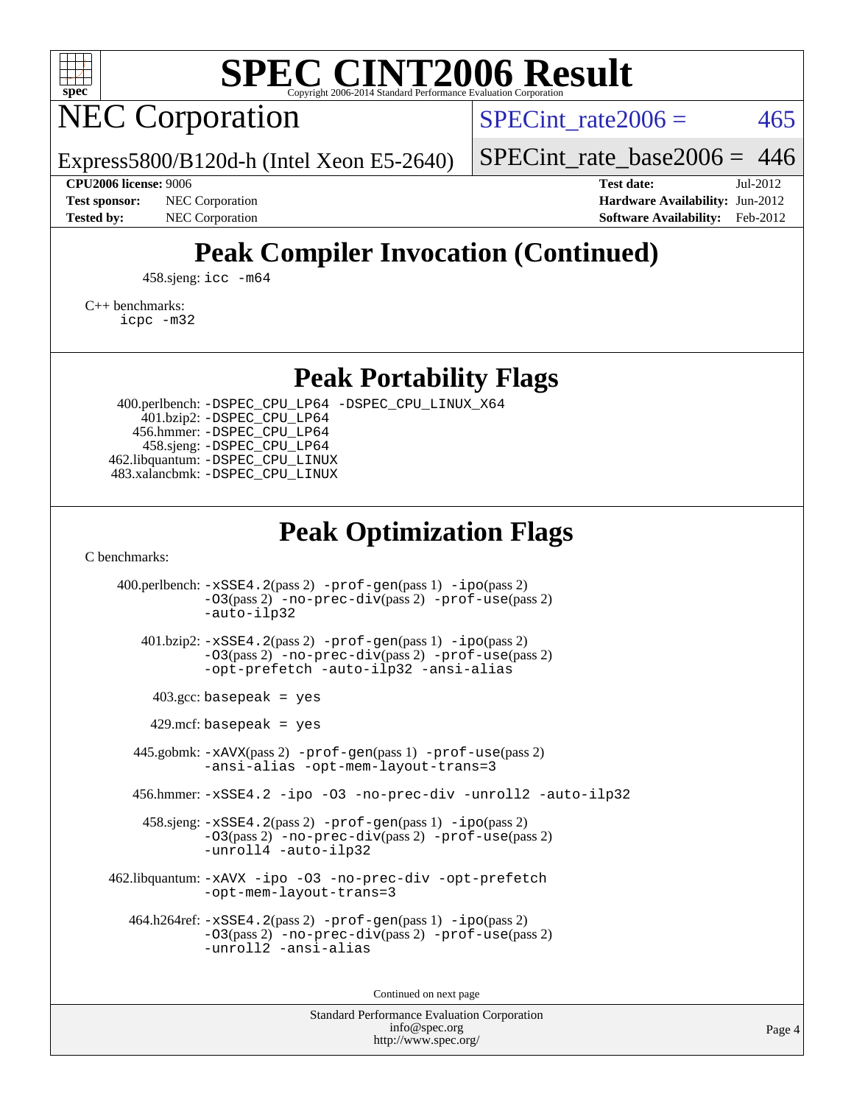

## NEC Corporation

SPECint rate $2006 = 465$ 

Express5800/B120d-h (Intel Xeon E5-2640)

[SPECint\\_rate\\_base2006 =](http://www.spec.org/auto/cpu2006/Docs/result-fields.html#SPECintratebase2006) 446

**[CPU2006 license:](http://www.spec.org/auto/cpu2006/Docs/result-fields.html#CPU2006license)** 9006 **[Test date:](http://www.spec.org/auto/cpu2006/Docs/result-fields.html#Testdate)** Jul-2012 **[Test sponsor:](http://www.spec.org/auto/cpu2006/Docs/result-fields.html#Testsponsor)** NEC Corporation **NEC Corporation [Hardware Availability:](http://www.spec.org/auto/cpu2006/Docs/result-fields.html#HardwareAvailability)** Jun-2012 **[Tested by:](http://www.spec.org/auto/cpu2006/Docs/result-fields.html#Testedby)** NEC Corporation **[Software Availability:](http://www.spec.org/auto/cpu2006/Docs/result-fields.html#SoftwareAvailability)** Feb-2012

## **[Peak Compiler Invocation \(Continued\)](http://www.spec.org/auto/cpu2006/Docs/result-fields.html#PeakCompilerInvocation)**

458.sjeng: [icc -m64](http://www.spec.org/cpu2006/results/res2012q3/cpu2006-20120802-24025.flags.html#user_peakCCLD458_sjeng_intel_icc_64bit_bda6cc9af1fdbb0edc3795bac97ada53)

[C++ benchmarks:](http://www.spec.org/auto/cpu2006/Docs/result-fields.html#CXXbenchmarks)

[icpc -m32](http://www.spec.org/cpu2006/results/res2012q3/cpu2006-20120802-24025.flags.html#user_CXXpeak_intel_icpc_4e5a5ef1a53fd332b3c49e69c3330699)

**[Peak Portability Flags](http://www.spec.org/auto/cpu2006/Docs/result-fields.html#PeakPortabilityFlags)**

 400.perlbench: [-DSPEC\\_CPU\\_LP64](http://www.spec.org/cpu2006/results/res2012q3/cpu2006-20120802-24025.flags.html#b400.perlbench_peakCPORTABILITY_DSPEC_CPU_LP64) [-DSPEC\\_CPU\\_LINUX\\_X64](http://www.spec.org/cpu2006/results/res2012q3/cpu2006-20120802-24025.flags.html#b400.perlbench_peakCPORTABILITY_DSPEC_CPU_LINUX_X64) 401.bzip2: [-DSPEC\\_CPU\\_LP64](http://www.spec.org/cpu2006/results/res2012q3/cpu2006-20120802-24025.flags.html#suite_peakCPORTABILITY401_bzip2_DSPEC_CPU_LP64) 456.hmmer: [-DSPEC\\_CPU\\_LP64](http://www.spec.org/cpu2006/results/res2012q3/cpu2006-20120802-24025.flags.html#suite_peakCPORTABILITY456_hmmer_DSPEC_CPU_LP64) 458.sjeng: [-DSPEC\\_CPU\\_LP64](http://www.spec.org/cpu2006/results/res2012q3/cpu2006-20120802-24025.flags.html#suite_peakCPORTABILITY458_sjeng_DSPEC_CPU_LP64) 462.libquantum: [-DSPEC\\_CPU\\_LINUX](http://www.spec.org/cpu2006/results/res2012q3/cpu2006-20120802-24025.flags.html#b462.libquantum_peakCPORTABILITY_DSPEC_CPU_LINUX) 483.xalancbmk: [-DSPEC\\_CPU\\_LINUX](http://www.spec.org/cpu2006/results/res2012q3/cpu2006-20120802-24025.flags.html#b483.xalancbmk_peakCXXPORTABILITY_DSPEC_CPU_LINUX)

## **[Peak Optimization Flags](http://www.spec.org/auto/cpu2006/Docs/result-fields.html#PeakOptimizationFlags)**

[C benchmarks](http://www.spec.org/auto/cpu2006/Docs/result-fields.html#Cbenchmarks):

 400.perlbench: [-xSSE4.2](http://www.spec.org/cpu2006/results/res2012q3/cpu2006-20120802-24025.flags.html#user_peakPASS2_CFLAGSPASS2_LDCFLAGS400_perlbench_f-xSSE42_f91528193cf0b216347adb8b939d4107)(pass 2) [-prof-gen](http://www.spec.org/cpu2006/results/res2012q3/cpu2006-20120802-24025.flags.html#user_peakPASS1_CFLAGSPASS1_LDCFLAGS400_perlbench_prof_gen_e43856698f6ca7b7e442dfd80e94a8fc)(pass 1) [-ipo](http://www.spec.org/cpu2006/results/res2012q3/cpu2006-20120802-24025.flags.html#user_peakPASS2_CFLAGSPASS2_LDCFLAGS400_perlbench_f-ipo)(pass 2) [-O3](http://www.spec.org/cpu2006/results/res2012q3/cpu2006-20120802-24025.flags.html#user_peakPASS2_CFLAGSPASS2_LDCFLAGS400_perlbench_f-O3)(pass 2) [-no-prec-div](http://www.spec.org/cpu2006/results/res2012q3/cpu2006-20120802-24025.flags.html#user_peakPASS2_CFLAGSPASS2_LDCFLAGS400_perlbench_f-no-prec-div)(pass 2) [-prof-use](http://www.spec.org/cpu2006/results/res2012q3/cpu2006-20120802-24025.flags.html#user_peakPASS2_CFLAGSPASS2_LDCFLAGS400_perlbench_prof_use_bccf7792157ff70d64e32fe3e1250b55)(pass 2) [-auto-ilp32](http://www.spec.org/cpu2006/results/res2012q3/cpu2006-20120802-24025.flags.html#user_peakCOPTIMIZE400_perlbench_f-auto-ilp32) 401.bzip2: [-xSSE4.2](http://www.spec.org/cpu2006/results/res2012q3/cpu2006-20120802-24025.flags.html#user_peakPASS2_CFLAGSPASS2_LDCFLAGS401_bzip2_f-xSSE42_f91528193cf0b216347adb8b939d4107)(pass 2) [-prof-gen](http://www.spec.org/cpu2006/results/res2012q3/cpu2006-20120802-24025.flags.html#user_peakPASS1_CFLAGSPASS1_LDCFLAGS401_bzip2_prof_gen_e43856698f6ca7b7e442dfd80e94a8fc)(pass 1) [-ipo](http://www.spec.org/cpu2006/results/res2012q3/cpu2006-20120802-24025.flags.html#user_peakPASS2_CFLAGSPASS2_LDCFLAGS401_bzip2_f-ipo)(pass 2) [-O3](http://www.spec.org/cpu2006/results/res2012q3/cpu2006-20120802-24025.flags.html#user_peakPASS2_CFLAGSPASS2_LDCFLAGS401_bzip2_f-O3)(pass 2) [-no-prec-div](http://www.spec.org/cpu2006/results/res2012q3/cpu2006-20120802-24025.flags.html#user_peakPASS2_CFLAGSPASS2_LDCFLAGS401_bzip2_f-no-prec-div)(pass 2) [-prof-use](http://www.spec.org/cpu2006/results/res2012q3/cpu2006-20120802-24025.flags.html#user_peakPASS2_CFLAGSPASS2_LDCFLAGS401_bzip2_prof_use_bccf7792157ff70d64e32fe3e1250b55)(pass 2) [-opt-prefetch](http://www.spec.org/cpu2006/results/res2012q3/cpu2006-20120802-24025.flags.html#user_peakCOPTIMIZE401_bzip2_f-opt-prefetch) [-auto-ilp32](http://www.spec.org/cpu2006/results/res2012q3/cpu2006-20120802-24025.flags.html#user_peakCOPTIMIZE401_bzip2_f-auto-ilp32) [-ansi-alias](http://www.spec.org/cpu2006/results/res2012q3/cpu2006-20120802-24025.flags.html#user_peakCOPTIMIZE401_bzip2_f-ansi-alias)  $403.\text{gcc: basepeak}$  = yes  $429$ .mcf: basepeak = yes 445.gobmk: [-xAVX](http://www.spec.org/cpu2006/results/res2012q3/cpu2006-20120802-24025.flags.html#user_peakPASS2_CFLAGSPASS2_LDCFLAGS445_gobmk_f-xAVX)(pass 2) [-prof-gen](http://www.spec.org/cpu2006/results/res2012q3/cpu2006-20120802-24025.flags.html#user_peakPASS1_CFLAGSPASS1_LDCFLAGS445_gobmk_prof_gen_e43856698f6ca7b7e442dfd80e94a8fc)(pass 1) [-prof-use](http://www.spec.org/cpu2006/results/res2012q3/cpu2006-20120802-24025.flags.html#user_peakPASS2_CFLAGSPASS2_LDCFLAGS445_gobmk_prof_use_bccf7792157ff70d64e32fe3e1250b55)(pass 2) [-ansi-alias](http://www.spec.org/cpu2006/results/res2012q3/cpu2006-20120802-24025.flags.html#user_peakCOPTIMIZE445_gobmk_f-ansi-alias) [-opt-mem-layout-trans=3](http://www.spec.org/cpu2006/results/res2012q3/cpu2006-20120802-24025.flags.html#user_peakCOPTIMIZE445_gobmk_f-opt-mem-layout-trans_a7b82ad4bd7abf52556d4961a2ae94d5) 456.hmmer: [-xSSE4.2](http://www.spec.org/cpu2006/results/res2012q3/cpu2006-20120802-24025.flags.html#user_peakCOPTIMIZE456_hmmer_f-xSSE42_f91528193cf0b216347adb8b939d4107) [-ipo](http://www.spec.org/cpu2006/results/res2012q3/cpu2006-20120802-24025.flags.html#user_peakCOPTIMIZE456_hmmer_f-ipo) [-O3](http://www.spec.org/cpu2006/results/res2012q3/cpu2006-20120802-24025.flags.html#user_peakCOPTIMIZE456_hmmer_f-O3) [-no-prec-div](http://www.spec.org/cpu2006/results/res2012q3/cpu2006-20120802-24025.flags.html#user_peakCOPTIMIZE456_hmmer_f-no-prec-div) [-unroll2](http://www.spec.org/cpu2006/results/res2012q3/cpu2006-20120802-24025.flags.html#user_peakCOPTIMIZE456_hmmer_f-unroll_784dae83bebfb236979b41d2422d7ec2) [-auto-ilp32](http://www.spec.org/cpu2006/results/res2012q3/cpu2006-20120802-24025.flags.html#user_peakCOPTIMIZE456_hmmer_f-auto-ilp32) 458.sjeng: [-xSSE4.2](http://www.spec.org/cpu2006/results/res2012q3/cpu2006-20120802-24025.flags.html#user_peakPASS2_CFLAGSPASS2_LDCFLAGS458_sjeng_f-xSSE42_f91528193cf0b216347adb8b939d4107)(pass 2) [-prof-gen](http://www.spec.org/cpu2006/results/res2012q3/cpu2006-20120802-24025.flags.html#user_peakPASS1_CFLAGSPASS1_LDCFLAGS458_sjeng_prof_gen_e43856698f6ca7b7e442dfd80e94a8fc)(pass 1) [-ipo](http://www.spec.org/cpu2006/results/res2012q3/cpu2006-20120802-24025.flags.html#user_peakPASS2_CFLAGSPASS2_LDCFLAGS458_sjeng_f-ipo)(pass 2) [-O3](http://www.spec.org/cpu2006/results/res2012q3/cpu2006-20120802-24025.flags.html#user_peakPASS2_CFLAGSPASS2_LDCFLAGS458_sjeng_f-O3)(pass 2) [-no-prec-div](http://www.spec.org/cpu2006/results/res2012q3/cpu2006-20120802-24025.flags.html#user_peakPASS2_CFLAGSPASS2_LDCFLAGS458_sjeng_f-no-prec-div)(pass 2) [-prof-use](http://www.spec.org/cpu2006/results/res2012q3/cpu2006-20120802-24025.flags.html#user_peakPASS2_CFLAGSPASS2_LDCFLAGS458_sjeng_prof_use_bccf7792157ff70d64e32fe3e1250b55)(pass 2) [-unroll4](http://www.spec.org/cpu2006/results/res2012q3/cpu2006-20120802-24025.flags.html#user_peakCOPTIMIZE458_sjeng_f-unroll_4e5e4ed65b7fd20bdcd365bec371b81f) [-auto-ilp32](http://www.spec.org/cpu2006/results/res2012q3/cpu2006-20120802-24025.flags.html#user_peakCOPTIMIZE458_sjeng_f-auto-ilp32) 462.libquantum: [-xAVX](http://www.spec.org/cpu2006/results/res2012q3/cpu2006-20120802-24025.flags.html#user_peakCOPTIMIZE462_libquantum_f-xAVX) [-ipo](http://www.spec.org/cpu2006/results/res2012q3/cpu2006-20120802-24025.flags.html#user_peakCOPTIMIZE462_libquantum_f-ipo) [-O3](http://www.spec.org/cpu2006/results/res2012q3/cpu2006-20120802-24025.flags.html#user_peakCOPTIMIZE462_libquantum_f-O3) [-no-prec-div](http://www.spec.org/cpu2006/results/res2012q3/cpu2006-20120802-24025.flags.html#user_peakCOPTIMIZE462_libquantum_f-no-prec-div) [-opt-prefetch](http://www.spec.org/cpu2006/results/res2012q3/cpu2006-20120802-24025.flags.html#user_peakCOPTIMIZE462_libquantum_f-opt-prefetch) [-opt-mem-layout-trans=3](http://www.spec.org/cpu2006/results/res2012q3/cpu2006-20120802-24025.flags.html#user_peakCOPTIMIZE462_libquantum_f-opt-mem-layout-trans_a7b82ad4bd7abf52556d4961a2ae94d5) 464.h264ref: [-xSSE4.2](http://www.spec.org/cpu2006/results/res2012q3/cpu2006-20120802-24025.flags.html#user_peakPASS2_CFLAGSPASS2_LDCFLAGS464_h264ref_f-xSSE42_f91528193cf0b216347adb8b939d4107)(pass 2) [-prof-gen](http://www.spec.org/cpu2006/results/res2012q3/cpu2006-20120802-24025.flags.html#user_peakPASS1_CFLAGSPASS1_LDCFLAGS464_h264ref_prof_gen_e43856698f6ca7b7e442dfd80e94a8fc)(pass 1) [-ipo](http://www.spec.org/cpu2006/results/res2012q3/cpu2006-20120802-24025.flags.html#user_peakPASS2_CFLAGSPASS2_LDCFLAGS464_h264ref_f-ipo)(pass 2) [-O3](http://www.spec.org/cpu2006/results/res2012q3/cpu2006-20120802-24025.flags.html#user_peakPASS2_CFLAGSPASS2_LDCFLAGS464_h264ref_f-O3)(pass 2) [-no-prec-div](http://www.spec.org/cpu2006/results/res2012q3/cpu2006-20120802-24025.flags.html#user_peakPASS2_CFLAGSPASS2_LDCFLAGS464_h264ref_f-no-prec-div)(pass 2) [-prof-use](http://www.spec.org/cpu2006/results/res2012q3/cpu2006-20120802-24025.flags.html#user_peakPASS2_CFLAGSPASS2_LDCFLAGS464_h264ref_prof_use_bccf7792157ff70d64e32fe3e1250b55)(pass 2) [-unroll2](http://www.spec.org/cpu2006/results/res2012q3/cpu2006-20120802-24025.flags.html#user_peakCOPTIMIZE464_h264ref_f-unroll_784dae83bebfb236979b41d2422d7ec2) [-ansi-alias](http://www.spec.org/cpu2006/results/res2012q3/cpu2006-20120802-24025.flags.html#user_peakCOPTIMIZE464_h264ref_f-ansi-alias)

Continued on next page